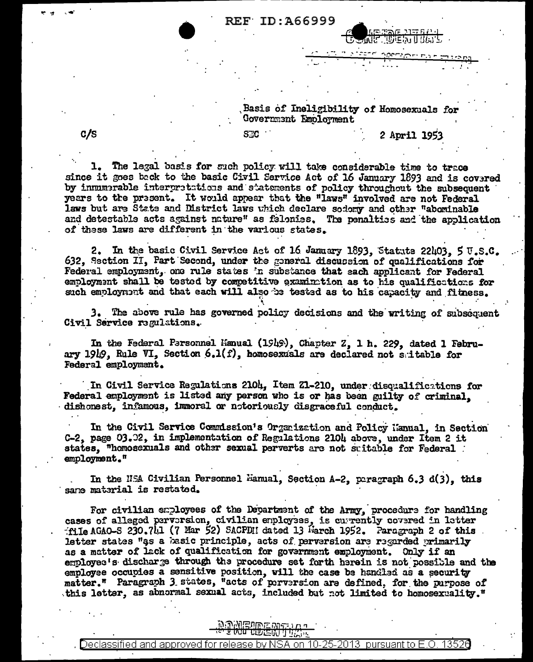## **REF ID:A66999**

Basis of Ineligibility of Homosexuals for Government Employment

2 April 1953

መድኬ በ በማግ

1. The legal basis for such policy will take considerable time to trace since it goes back to the basic Civil Service Act of 16 January 1893 and is covered by innumerable interpretations and statements of policy throughout the subsequent years to the present. It would appear that the "laws" involved are not Federal laws but are State and District laws which declare sodony and other "abominable and detestable acts against nature" as felonies. The penalties and the application of these laws are different in the various states.

**SEC** 

2. In the basic Civil Service Act of 16 January 1893, Statute 22403, 5 U.S.C. 632, Section II, Part Second, under the general discussion of qualifications for Federal employment, one rule states in substance that each applicant for Federal employment shall be tested by competitive examination as to his qualifications for such employment and that each will also be tested as to his capacity and fitness.

3. The above rule has governed policy decisions and the writing of subsequent Civil Service regulations.

In the Federal Personnel Manual (1949), Chapter Z, 1 h. 229, dated 1 February 1949. Rule VI. Section 6.1(f), homosexuals are declared not saitable for Federal employment.

In Civil Service Regulations 2104, Item Z1-210, under disqualifications for Federal employment is listed any person who is or has been guilty of criminal. dishonest. infamous, immoral or notoriously disgraceful conduct.

In the Civil Service Commission's Organization and Policy Hanual, in Section C-2, page 03.02, in implementation of Regulations 2104 above, under Item 2 it states. "homosexuals and other sexual perverts are not suitable for Federal employment."

In the NSA Civilian Personnel Mamual, Section A-2, paragraph 6.3 d(3), this sane material is restated.

For civilian employees of the Department of the Army, procedure for handling cases of alleged pervorsion, civilian employees, is currently covered in letter file AGAO-S 230.711 (7 Mar 52) SACPDH dated 13 Harch 1952. Paragraph 2 of this letter states "as a basic principle, acts of perversion are regarded primarily as a matter of lack of qualification for government employment. Only if an employee's discharge through the procedure set forth herein is not possible and the employee occupies a sensitive position, will the case be handled as a security matter." Paragraph 3 states, "acts of perversion are defined, for the purpose of this letter, as abnormal sexual acts, included but not limited to homosexuality."

## **MONEUMENT LA**

 $c/s$